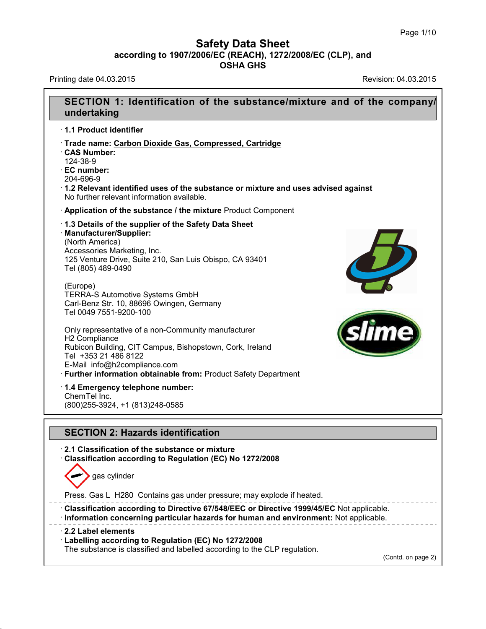Printing date 04.03.2015 **Printing date 04.03.2015** 

40.1.3



(Contd. on page 2)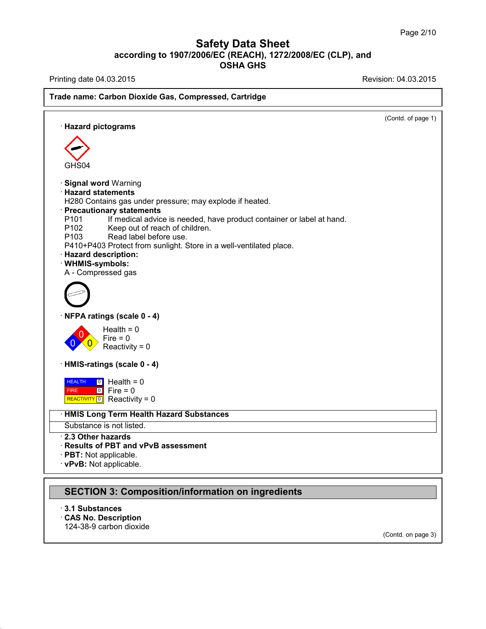Printing date 04.03.2015 **Printing date 04.03.2015** 

# **Trade name: Carbon Dioxide Gas, Compressed, Cartridge** (Contd. of page 1) · **Hazard pictograms** GHS04 · **Signal word** Warning · **Hazard statements** H280 Contains gas under pressure; may explode if heated. · **Precautionary statements** P101 If medical advice is needed, have product container or label at hand.<br>P102 Keep out of reach of children. P102 Keep out of reach of children.<br>P103 Read label before use. Read label before use. P410+P403 Protect from sunlight. Store in a well-ventilated place. · **Hazard description:** · **WHMIS-symbols:** A - Compressed gas · **NFPA ratings (scale 0 - 4)**  $\overline{0}$  Reactivity = 0  $\sum_{n=1}^{\infty}$  Fire = 0  $Health = 0$ · **HMIS-ratings (scale 0 - 4)** HEALTH FIRE **REALTH | 0** Health = 0<br>FIRE | 0 | Fire = 0<br>| REACTIVITY <mark>0</mark> | Reactivity = 0  $\boxed{0}$  Health = 0 0 Fire = 0 · **HMIS Long Term Health Hazard Substances** Substance is not listed. · **2.3 Other hazards** · **Results of PBT and vPvB assessment** · **PBT:** Not applicable. · **vPvB:** Not applicable. **SECTION 3: Composition/information on ingredients**

· **3.1 Substances** · **CAS No. Description** 124-38-9 carbon dioxide

40.1.3

(Contd. on page 3)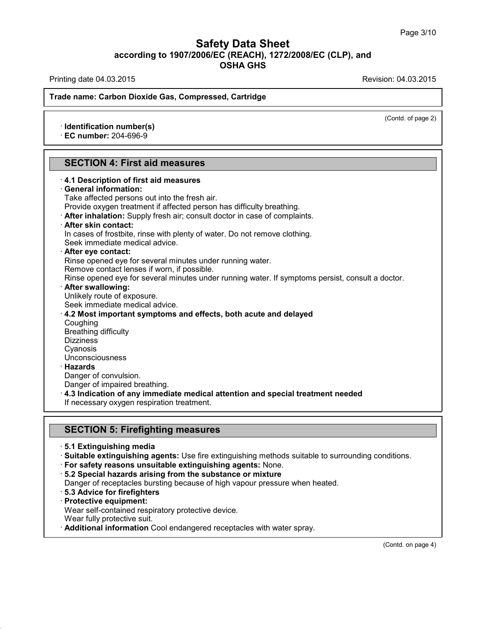Printing date 04.03.2015 **Printing date 04.03.2015** 

(Contd. of page 2)

#### **Trade name: Carbon Dioxide Gas, Compressed, Cartridge**

· **Identification number(s)**

· **EC number:** 204-696-9

#### **SECTION 4: First aid measures**

| 4.1 Description of first aid measures                                                            |
|--------------------------------------------------------------------------------------------------|
| · General information:                                                                           |
| Take affected persons out into the fresh air.                                                    |
| Provide oxygen treatment if affected person has difficulty breathing.                            |
| . After inhalation: Supply fresh air; consult doctor in case of complaints.                      |
| · After skin contact:                                                                            |
| In cases of frostbite, rinse with plenty of water. Do not remove clothing.                       |
| Seek immediate medical advice.                                                                   |
| $\cdot$ After eye contact:                                                                       |
| Rinse opened eye for several minutes under running water.                                        |
| Remove contact lenses if worn, if possible.                                                      |
| Rinse opened eye for several minutes under running water. If symptoms persist, consult a doctor. |
| · After swallowing:                                                                              |
| Unlikely route of exposure.                                                                      |
| Seek immediate medical advice.                                                                   |
| 4.2 Most important symptoms and effects, both acute and delayed                                  |
| Coughing                                                                                         |
| <b>Breathing difficulty</b>                                                                      |
| <b>Dizziness</b>                                                                                 |
| Cyanosis                                                                                         |
| Unconsciousness                                                                                  |
| · Hazards                                                                                        |
| Danger of convulsion.                                                                            |
| Danger of impaired breathing.                                                                    |
| ⋅ 4.3 Indication of any immediate medical attention and special treatment needed                 |
| If necessary oxygen respiration treatment.                                                       |
|                                                                                                  |
|                                                                                                  |

# **SECTION 5: Firefighting measures**

- · **5.1 Extinguishing media**
- · **Suitable extinguishing agents:** Use fire extinguishing methods suitable to surrounding conditions.
- · **For safety reasons unsuitable extinguishing agents:** None.
- · **5.2 Special hazards arising from the substance ormixture**
- Danger of receptacles bursting because of high vapour pressure when heated.
- · **5.3 Advice for firefighters**
- · **Protective equipment:**

Wear self-contained respiratory protective device.

Wear fully protective suit.

40.1.3

· **Additional information** Cool endangered receptacles with water spray.

(Contd. on page 4)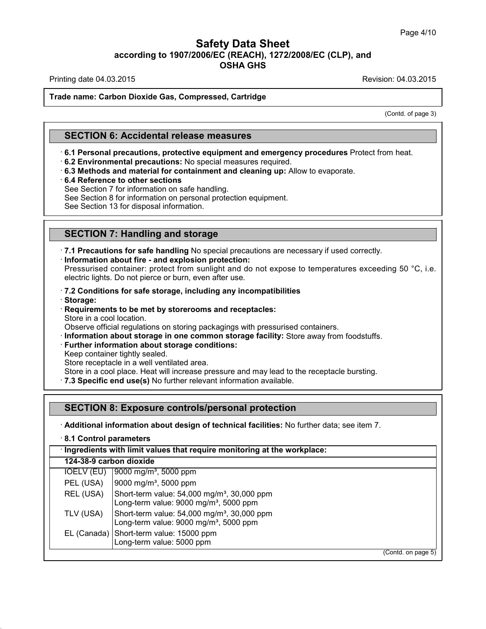Printing date 04.03.2015 **Printing date 04.03.2015** 

#### **Trade name: Carbon Dioxide Gas, Compressed, Cartridge**

(Contd. of page 3)

### **SECTION 6: Accidental release measures**

- · **6.1 Personal precautions, protective equipment and emergency procedures** Protect from heat.
- · **6.2 Environmental precautions:** No special measures required.
- · **6.3 Methods and material for containment and cleaning up:** Allow to evaporate.
- · **6.4 Reference to other sections**

See Section 7 for information on safe handling.

See Section 8 for information on personal protection equipment.

See Section 13 for disposal information.

# **SECTION 7: Handling and storage**

· **7.1 Precautions for safe handling** No special precautions are necessary if used correctly. · **Information about fire - and explosion protection:**

Pressurised container: protect from sunlight and do not expose to temperatures exceeding 50 °C, i.e. electric lights. Do not pierce or burn, even after use.

#### · **7.2 Conditions for safe storage, including any incompatibilities**

· **Storage:**

40.1.3

· **Requirements to be met by storerooms and receptacles:** Store in a cool location.

Observe official regulations on storing packagings with pressurised containers.

- · **Information about storage in one common storage facility:** Store away from foodstuffs.
- · **Further information about storage conditions:**

Keep container tightly sealed.

Store receptacle in a well ventilated area.

Store in a cool place. Heat will increase pressure and may lead to the receptacle bursting.

· **7.3 Specific end use(s)** No further relevant information available.

### **SECTION 8: Exposure controls/personal protection**

· **Additional information about design of technical facilities:** No further data; see item 7.

| · Ingredients with limit values that require monitoring at the workplace:<br>124-38-9 carbon dioxide |                                                                                                               |  |  |  |  |
|------------------------------------------------------------------------------------------------------|---------------------------------------------------------------------------------------------------------------|--|--|--|--|
|                                                                                                      |                                                                                                               |  |  |  |  |
| IOELV (EU)                                                                                           | $[9000 \text{ mg/m}^3, 5000 \text{ ppm}]$                                                                     |  |  |  |  |
| PEL (USA)                                                                                            | 9000 mg/m <sup>3</sup> , 5000 ppm                                                                             |  |  |  |  |
| REL (USA)                                                                                            | Short-term value: 54,000 mg/m <sup>3</sup> , 30,000 ppm<br>Long-term value: 9000 mg/m <sup>3</sup> , 5000 ppm |  |  |  |  |
| TLV (USA)                                                                                            | Short-term value: 54,000 mg/m <sup>3</sup> , 30,000 ppm<br>Long-term value: 9000 mg/m <sup>3</sup> , 5000 ppm |  |  |  |  |
|                                                                                                      | EL (Canada) Short-term value: 15000 ppm<br>Long-term value: 5000 ppm                                          |  |  |  |  |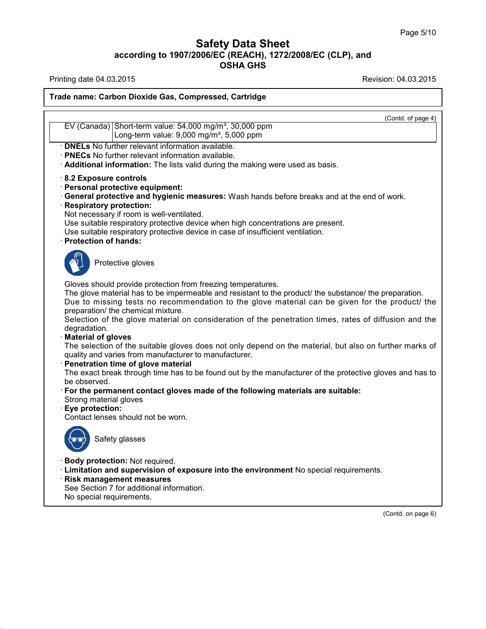Printing date 04.03.2015 Revision: 04.03.2015

40.1.3

#### **Trade name: Carbon Dioxide Gas, Compressed, Cartridge**

(Contd. of page 4) EV (Canada) Short-term value: 54,000 mg/m<sup>3</sup>, 30,000 ppm Long-term value:  $9,000$  mg/m<sup>3</sup>,  $5,000$  ppm · **DNELs** No further relevant information available. · **PNECs** No further relevant information available. · **Additional information:** The lists valid during the making were used as basis. · **8.2 Exposure controls** · **Personal protective equipment:** · **General protective and hygienic measures:** Wash hands before breaks and at the end of work. · **Respiratory protection:** Not necessary if room is well-ventilated. Use suitable respiratory protective device when high concentrations are present. Use suitable respiratory protective device in case of insufficient ventilation. · **Protection of hands:** Protective gloves Gloves should provide protection from freezing temperatures. The glove material has to be impermeable and resistant to the product/ the substance/ the preparation. Due to missing tests no recommendation to the glove material can be given for the product/ the preparation/ the chemical mixture. Selection of the glove material on consideration of the penetration times, rates of diffusion and the degradation. · **Material of gloves** The selection of the suitable gloves does not only depend on the material, but also on further marks of quality and varies from manufacturer to manufacturer. · **Penetration time of glove material** The exact break through time has to be found out by the manufacturer of the protective gloves and has to be observed. · **For the permanent contact gloves made of the following materials are suitable:** Strong material gloves · **Eye protection:** Contact lenses should not be worn. Safety glasses · **Body protection:** Not required. · **Limitation and supervision of exposure into the environment** No special requirements. · **Risk management measures** See Section 7 for additional information. No special requirements.

(Contd. on page 6)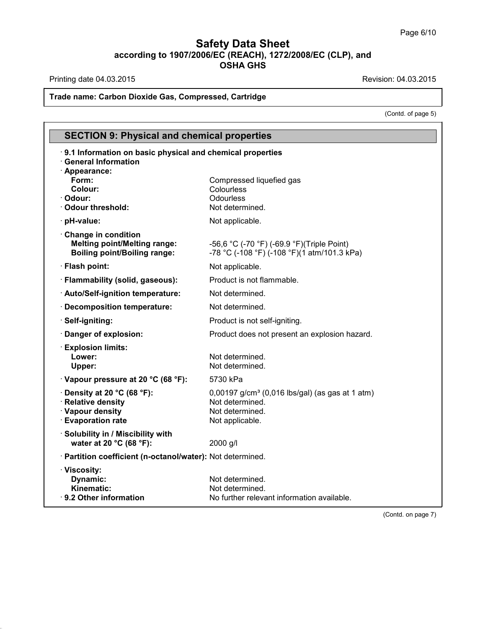Printing date 04.03.2015 **Printing date 04.03.2015** 

40.1.3

# **Trade name: Carbon Dioxide Gas, Compressed, Cartridge**

(Contd. of page 5)

| <b>SECTION 9: Physical and chemical properties</b>                                                       |                                                                                                                      |  |  |  |  |
|----------------------------------------------------------------------------------------------------------|----------------------------------------------------------------------------------------------------------------------|--|--|--|--|
| 9.1 Information on basic physical and chemical properties<br><b>General Information</b><br>· Appearance: |                                                                                                                      |  |  |  |  |
| Form:<br>Colour:<br>· Odour:<br>· Odour threshold:                                                       | Compressed liquefied gas<br>Colourless<br>Odourless<br>Not determined.                                               |  |  |  |  |
| · pH-value:                                                                                              | Not applicable.                                                                                                      |  |  |  |  |
| Change in condition<br><b>Melting point/Melting range:</b><br><b>Boiling point/Boiling range:</b>        | -56,6 °C (-70 °F) (-69.9 °F) (Triple Point)<br>-78 °C (-108 °F) (-108 °F)(1 atm/101.3 kPa)                           |  |  |  |  |
| · Flash point:                                                                                           | Not applicable.                                                                                                      |  |  |  |  |
| · Flammability (solid, gaseous):                                                                         | Product is not flammable.                                                                                            |  |  |  |  |
| · Auto/Self-ignition temperature:                                                                        | Not determined.                                                                                                      |  |  |  |  |
| · Decomposition temperature:                                                                             | Not determined.                                                                                                      |  |  |  |  |
| · Self-igniting:                                                                                         | Product is not self-igniting.                                                                                        |  |  |  |  |
| · Danger of explosion:                                                                                   | Product does not present an explosion hazard.                                                                        |  |  |  |  |
| · Explosion limits:<br>Lower:<br>Upper:                                                                  | Not determined.<br>Not determined.                                                                                   |  |  |  |  |
| $\cdot$ Vapour pressure at 20 °C (68 °F):                                                                | 5730 kPa                                                                                                             |  |  |  |  |
| $\cdot$ Density at 20 °C (68 °F):<br>· Relative density<br>· Vapour density<br><b>Evaporation rate</b>   | 0,00197 g/cm <sup>3</sup> (0,016 lbs/gal) (as gas at 1 atm)<br>Not determined.<br>Not determined.<br>Not applicable. |  |  |  |  |
| · Solubility in / Miscibility with<br>water at 20 °C (68 °F):                                            | 2000 g/l                                                                                                             |  |  |  |  |
| · Partition coefficient (n-octanol/water): Not determined.                                               |                                                                                                                      |  |  |  |  |
| · Viscosity:<br>Dynamic:<br>Kinematic:<br>⋅ 9.2 Other information                                        | Not determined.<br>Not determined.<br>No further relevant information available.                                     |  |  |  |  |

(Contd. on page 7)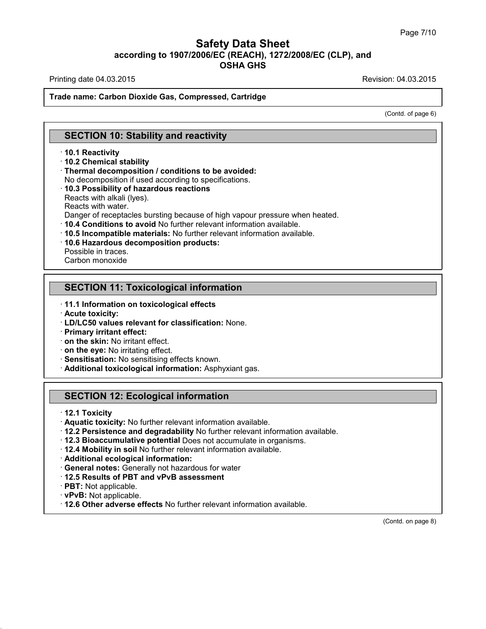Printing date 04.03.2015 **Printing date 04.03.2015** 

#### **Trade name: Carbon Dioxide Gas, Compressed, Cartridge**

(Contd. of page 6)

### **SECTION 10: Stability and reactivity**

#### · **10.1 Reactivity**

· **10.2 Chemical stability**

- · **Thermal decomposition / conditions to be avoided:**
- No decomposition if used according to specifications.
- · **10.3 Possibility of hazardous reactions**

Reacts with alkali (lyes).

Reacts with water.

Danger of receptacles bursting because of high vapour pressure when heated.

- · **10.4 Conditions to avoid** No further relevant information available.
- · **10.5 Incompatible materials:** No further relevant information available.
- · **10.6 Hazardous decomposition products:**

Possible in traces.

Carbon monoxide

### **SECTION 11: Toxicological information**

- · **11.1 Information on toxicological effects**
- · **Acute toxicity:**
- · **LD/LC50 values relevant for classification:** None.
- · **Primary irritant effect:**
- · **on the skin:** No irritant effect.
- · **on the eye:** No irritating effect.
- · **Sensitisation:** No sensitising effects known.
- · **Additional toxicological information:** Asphyxiant gas.

### **SECTION 12: Ecological information**

- · **12.1 Toxicity**
- · **Aquatic toxicity:** No further relevant information available.
- · **12.2 Persistence and degradability** No further relevant information available.
- · **12.3 Bioaccumulative potential** Does notaccumulate in organisms.
- · **12.4 Mobility in soil** No further relevant information available.
- · **Additional ecological information:**
- · **General notes:** Generally nothazardous for water
- · **12.5 Results of PBT and vPvB assessment**
- · **PBT:** Not applicable.
- · **vPvB:** Not applicable.

40.1.3

· **12.6 Other adverse effects** No further relevant information available.

(Contd. on page 8)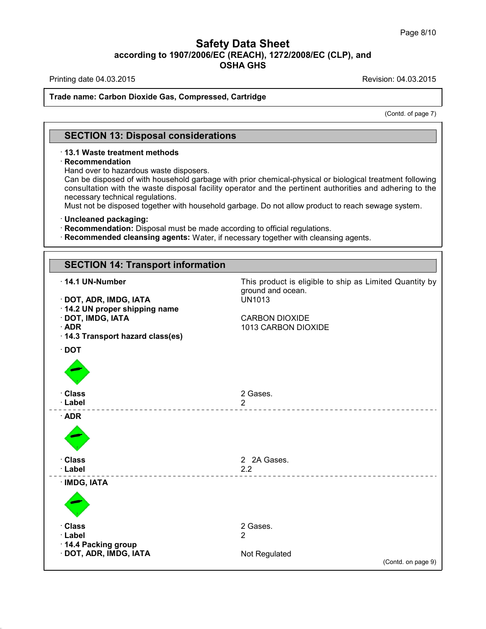Printing date 04.03.2015 **Printing date 04.03.2015** 

#### **Trade name: Carbon Dioxide Gas, Compressed, Cartridge**

(Contd. of page 7)

# **SECTION 13: Disposal considerations**

#### · **13.1 Waste treatment methods**

#### · **Recommendation**

Hand over to hazardous waste disposers.

Can be disposed of with household garbage with prior chemical-physical or biological treatment following consultation with the waste disposal facility operator and the pertinent authorities and adhering to the necessary technical regulations.

Must not be disposed together with household garbage. Do not allow product to reach sewage system.

#### · **Uncleaned packaging:**

40.1.3

· **Recommendation:** Disposal must be made according to official regulations.

· **Recommended cleansing agents:** Water, if necessary together with cleansing agents.

| <b>SECTION 14: Transport information</b>                                                                                                                                 |                                                                                                                                               |
|--------------------------------------------------------------------------------------------------------------------------------------------------------------------------|-----------------------------------------------------------------------------------------------------------------------------------------------|
| $\cdot$ 14.1 UN-Number<br>· DOT, ADR, IMDG, IATA<br>14.2 UN proper shipping name<br>· DOT, IMDG, IATA<br>$\cdot$ ADR<br>· 14.3 Transport hazard class(es)<br>$\cdot$ DOT | This product is eligible to ship as Limited Quantity by<br>ground and ocean.<br><b>UN1013</b><br><b>CARBON DIOXIDE</b><br>1013 CARBON DIOXIDE |
| · Class                                                                                                                                                                  | 2 Gases.                                                                                                                                      |
| · Label                                                                                                                                                                  | $\overline{2}$                                                                                                                                |
| $\cdot$ ADR                                                                                                                                                              | _________________                                                                                                                             |
| · Class                                                                                                                                                                  | 2 2A Gases.                                                                                                                                   |
| · Label                                                                                                                                                                  | $2.2\,$                                                                                                                                       |
| · IMDG, IATA                                                                                                                                                             | -----------------------                                                                                                                       |
| · Class                                                                                                                                                                  | 2 Gases.                                                                                                                                      |
| · Label                                                                                                                                                                  | 2                                                                                                                                             |
| 14.4 Packing group                                                                                                                                                       | Not Regulated                                                                                                                                 |
| · DOT, ADR, IMDG, IATA                                                                                                                                                   | (Contd. on page 9)                                                                                                                            |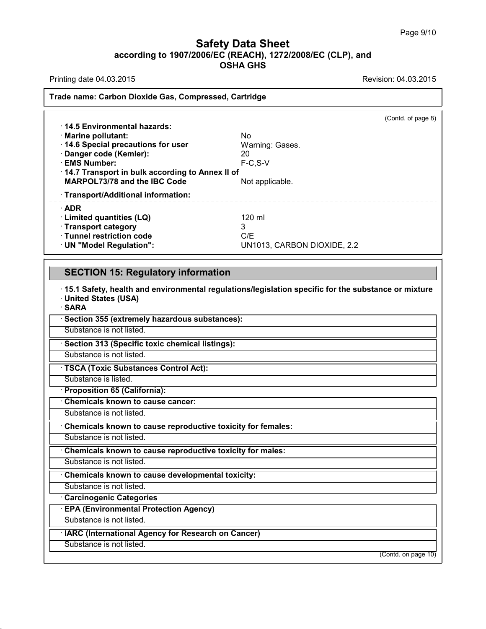Printing date 04.03.2015 **Printing date 04.03.2015** 

#### **Trade name: Carbon Dioxide Gas, Compressed, Cartridge**

|                                                 | (Contd. of page 8)          |  |  |
|-------------------------------------------------|-----------------------------|--|--|
| 14.5 Environmental hazards:                     |                             |  |  |
| · Marine pollutant:                             | No.                         |  |  |
| 14.6 Special precautions for user               | Warning: Gases.             |  |  |
| · Danger code (Kemler):                         | 20                          |  |  |
| · EMS Number:                                   | $F-C.S-V$                   |  |  |
| 14.7 Transport in bulk according to Annex II of |                             |  |  |
| MARPOL73/78 and the IBC Code                    | Not applicable.             |  |  |
| · Transport/Additional information:             |                             |  |  |
| $\cdot$ ADR                                     |                             |  |  |
| · Limited quantities (LQ)                       | 120 ml                      |  |  |
| · Transport category                            | 3                           |  |  |
| · Tunnel restriction code                       | C/F                         |  |  |
| · UN "Model Regulation":                        | UN1013, CARBON DIOXIDE, 2.2 |  |  |

### **SECTION 15: Regulatory information**

· **15.1 Safety, health and environmental regulations/legislation specific for the substance ormixture** · **United States (USA)**

· **SARA**

· **Section 355 (extremely hazardous substances):**

Substance is not listed.

· **Section 313 (Specific toxic chemical listings):**

Substance is not listed.

· **TSCA (Toxic Substances Control Act):**

Substance is listed.

· **Proposition 65 (California):**

· **Chemicals known to cause cancer:**

Substance is not listed.

· **Chemicals known to cause reproductive toxicity for females:**

Substance is not listed.

· **Chemicals known to cause reproductive toxicity for males:**

Substance is not listed.

· **Chemicals known to cause developmental toxicity:**

Substance is not listed.

· **Carcinogenic Categories**

· **EPA (Environmental Protection Agency)**

Substance is not listed.

· **IARC (International Agency for Research on Cancer)**

Substance is not listed.

40.1.3

(Contd. on page 10)